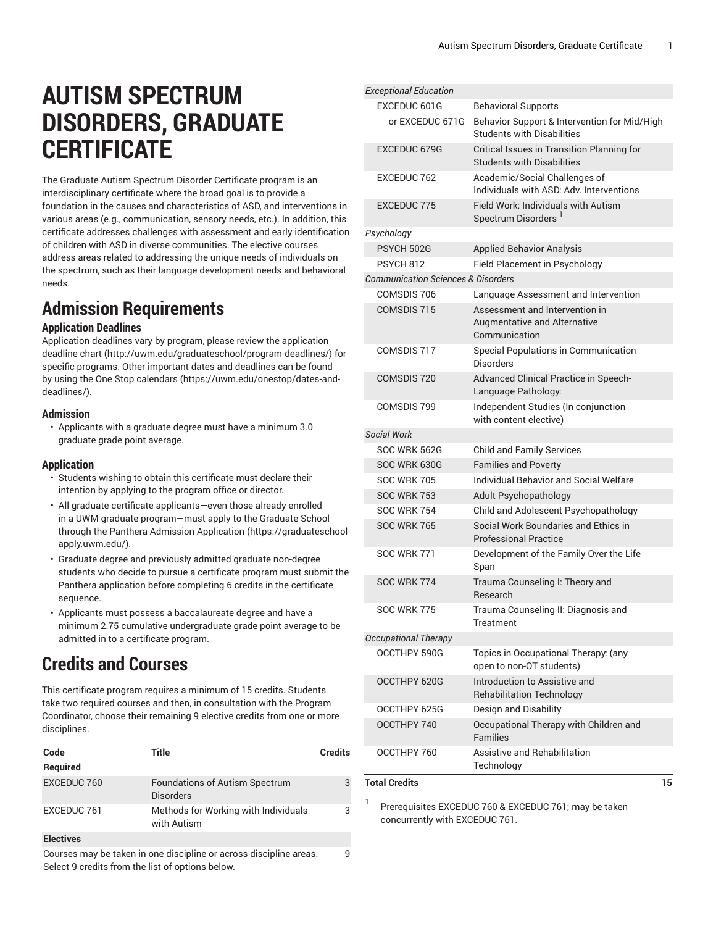# **AUTISM SPECTRUM DISORDERS, GRADUATE CERTIFICATE**

The Graduate Autism Spectrum Disorder Certificate program is an interdisciplinary certificate where the broad goal is to provide a foundation in the causes and characteristics of ASD, and interventions in various areas (e.g., communication, sensory needs, etc.). In addition, this certificate addresses challenges with assessment and early identification of children with ASD in diverse communities. The elective courses address areas related to addressing the unique needs of individuals on the spectrum, such as their language development needs and behavioral needs.

## **Admission Requirements**

### **Application Deadlines**

Application deadlines vary by program, please review the [application](http://uwm.edu/graduateschool/program-deadlines/) [deadline](http://uwm.edu/graduateschool/program-deadlines/) chart ([http://uwm.edu/graduateschool/program-deadlines/\)](http://uwm.edu/graduateschool/program-deadlines/) for specific programs. Other important dates and deadlines can be found by using the [One Stop calendars](https://uwm.edu/onestop/dates-and-deadlines/) ([https://uwm.edu/onestop/dates-and](https://uwm.edu/onestop/dates-and-deadlines/)[deadlines/\)](https://uwm.edu/onestop/dates-and-deadlines/).

### **Admission**

• Applicants with a graduate degree must have a minimum 3.0 graduate grade point average.

### **Application**

- Students wishing to obtain this certificate must declare their intention by applying to the program office or director.
- All graduate certificate applicants—even those already enrolled in a UWM graduate program—must apply to the Graduate School through the Panthera Admission [Application](https://graduateschool-apply.uwm.edu/) ([https://graduateschool](https://graduateschool-apply.uwm.edu/)[apply.uwm.edu/](https://graduateschool-apply.uwm.edu/)).
- Graduate degree and previously admitted graduate non-degree students who decide to pursue a certificate program must submit the Panthera application before completing 6 credits in the certificate sequence.
- Applicants must possess a baccalaureate degree and have a minimum 2.75 cumulative undergraduate grade point average to be admitted in to a certificate program.

## **Credits and Courses**

This certificate program requires a minimum of 15 credits. Students take two required courses and then, in consultation with the Program Coordinator, choose their remaining 9 elective credits from one or more disciplines.

| Code             | <b>Title</b>                                                       | <b>Credits</b> |
|------------------|--------------------------------------------------------------------|----------------|
| <b>Required</b>  |                                                                    |                |
| EXCEDUC 760      | <b>Foundations of Autism Spectrum</b><br><b>Disorders</b>          | 3              |
| EXCEDUC 761      | Methods for Working with Individuals<br>with Autism                | 3              |
| <b>Electives</b> |                                                                    |                |
|                  | Courses may be taken in one discipline or across discipline areas. | 9              |

Courses may be taken in one discipline or across discipline areas. Select 9 credits from the list of options below.

| <b>Exceptional Education</b>                  |                                                                                        |    |
|-----------------------------------------------|----------------------------------------------------------------------------------------|----|
| EXCEDUC 601G                                  | <b>Behavioral Supports</b>                                                             |    |
| or EXCEDUC 671G                               | Behavior Support & Intervention for Mid/High<br><b>Students with Disabilities</b>      |    |
| <b>EXCEDUC 679G</b>                           | <b>Critical Issues in Transition Planning for</b><br><b>Students with Disabilities</b> |    |
| EXCEDUC 762                                   | Academic/Social Challenges of<br>Individuals with ASD: Adv. Interventions              |    |
| EXCEDUC 775                                   | <b>Field Work: Individuals with Autism</b><br>Spectrum Disorders <sup>1</sup>          |    |
| Psychology                                    |                                                                                        |    |
| <b>PSYCH 502G</b>                             | <b>Applied Behavior Analysis</b>                                                       |    |
| <b>PSYCH 812</b>                              | Field Placement in Psychology                                                          |    |
| <b>Communication Sciences &amp; Disorders</b> |                                                                                        |    |
| COMSDIS 706                                   | Language Assessment and Intervention                                                   |    |
| COMSDIS 715                                   | Assessment and Intervention in<br>Augmentative and Alternative<br>Communication        |    |
| COMSDIS 717                                   | Special Populations in Communication<br><b>Disorders</b>                               |    |
| COMSDIS 720                                   | Advanced Clinical Practice in Speech-<br>Language Pathology:                           |    |
| COMSDIS 799                                   | Independent Studies (In conjunction<br>with content elective)                          |    |
| Social Work                                   |                                                                                        |    |
| <b>SOC WRK 562G</b>                           | <b>Child and Family Services</b>                                                       |    |
| SOC WRK 630G                                  | <b>Families and Poverty</b>                                                            |    |
| <b>SOC WRK 705</b>                            | <b>Individual Behavior and Social Welfare</b>                                          |    |
| <b>SOC WRK 753</b>                            | Adult Psychopathology                                                                  |    |
| <b>SOC WRK 754</b>                            | Child and Adolescent Psychopathology                                                   |    |
| <b>SOC WRK 765</b>                            | Social Work Boundaries and Ethics in<br><b>Professional Practice</b>                   |    |
| <b>SOC WRK 771</b>                            | Development of the Family Over the Life<br>Span                                        |    |
| <b>SOC WRK 774</b>                            | Trauma Counseling I: Theory and<br>Research                                            |    |
| <b>SOC WRK 775</b>                            | Trauma Counseling II: Diagnosis and<br>Treatment                                       |    |
| <b>Occupational Therapy</b>                   |                                                                                        |    |
| OCCTHPY 590G                                  | Topics in Occupational Therapy: (any<br>open to non-OT students)                       |    |
| OCCTHPY 620G                                  | Introduction to Assistive and<br><b>Rehabilitation Technology</b>                      |    |
| OCCTHPY 625G                                  | Design and Disability                                                                  |    |
| OCCTHPY 740                                   | Occupational Therapy with Children and<br><b>Families</b>                              |    |
| OCCTHPY 760                                   | Assistive and Rehabilitation<br>Technology                                             |    |
| <b>Total Credits</b>                          |                                                                                        | 15 |

1 Prerequisites EXCEDUC 760 & EXCEDUC 761; may be taken concurrently with EXCEDUC 761.